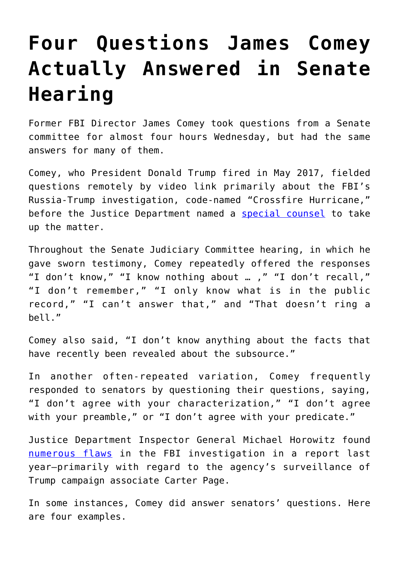# **[Four Questions James Comey](https://intellectualtakeout.org/2020/10/four-questions-james-comey-actually-answered-in-senate-hearing/) [Actually Answered in Senate](https://intellectualtakeout.org/2020/10/four-questions-james-comey-actually-answered-in-senate-hearing/) [Hearing](https://intellectualtakeout.org/2020/10/four-questions-james-comey-actually-answered-in-senate-hearing/)**

Former FBI Director James Comey took questions from a Senate committee for almost four hours Wednesday, but had the same answers for many of them.

Comey, who President Donald Trump fired in May 2017, fielded questions remotely by video link primarily about the FBI's Russia-Trump investigation, code-named "Crossfire Hurricane," before the Justice Department named a [special counsel](https://www.dailysignal.com/2019/04/18/key-takeaways-from-the-mueller-report-on-trump-and-russia/) to take up the matter.

Throughout the Senate Judiciary Committee hearing, in which he gave sworn testimony, Comey repeatedly offered the responses "I don't know," "I know nothing about … ," "I don't recall," "I don't remember," "I only know what is in the public record," "I can't answer that," and "That doesn't ring a bell."

Comey also said, "I don't know anything about the facts that have recently been revealed about the subsource."

In another often-repeated variation, Comey frequently responded to senators by questioning their questions, saying, "I don't agree with your characterization," "I don't agree with your preamble," or "I don't agree with your predicate."

Justice Department Inspector General Michael Horowitz found [numerous flaws](https://www.dailysignal.com/2018/06/14/watchdog-finds-cloud-but-no-bias-in-fbi-probe-of-clinton-email-practices/) in the FBI investigation in a report last year—primarily with regard to the agency's surveillance of Trump campaign associate Carter Page.

In some instances, Comey did answer senators' questions. Here are four examples.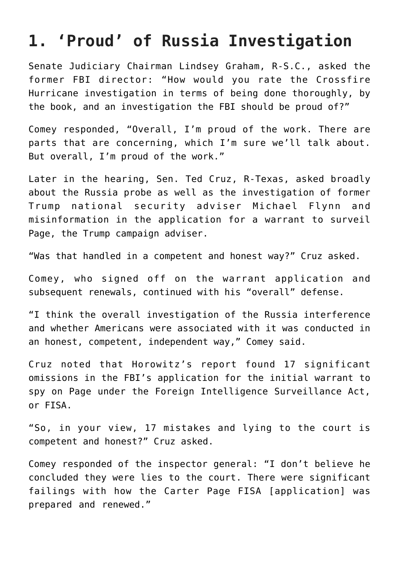### **1. 'Proud' of Russia Investigation**

Senate Judiciary Chairman Lindsey Graham, R-S.C., asked the former FBI director: "How would you rate the Crossfire Hurricane investigation in terms of being done thoroughly, by the book, and an investigation the FBI should be proud of?"

Comey responded, "Overall, I'm proud of the work. There are parts that are concerning, which I'm sure we'll talk about. But overall, I'm proud of the work."

Later in the hearing, Sen. Ted Cruz, R-Texas, asked broadly about the Russia probe as well as the investigation of former Trump national security adviser Michael Flynn and misinformation in the application for a warrant to surveil Page, the Trump campaign adviser.

"Was that handled in a competent and honest way?" Cruz asked.

Comey, who signed off on the warrant application and subsequent renewals, continued with his "overall" defense.

"I think the overall investigation of the Russia interference and whether Americans were associated with it was conducted in an honest, competent, independent way," Comey said.

Cruz noted that Horowitz's report found 17 significant omissions in the FBI's application for the initial warrant to spy on Page under the Foreign Intelligence Surveillance Act, or FISA.

"So, in your view, 17 mistakes and lying to the court is competent and honest?" Cruz asked.

Comey responded of the inspector general: "I don't believe he concluded they were lies to the court. There were significant failings with how the Carter Page FISA [application] was prepared and renewed."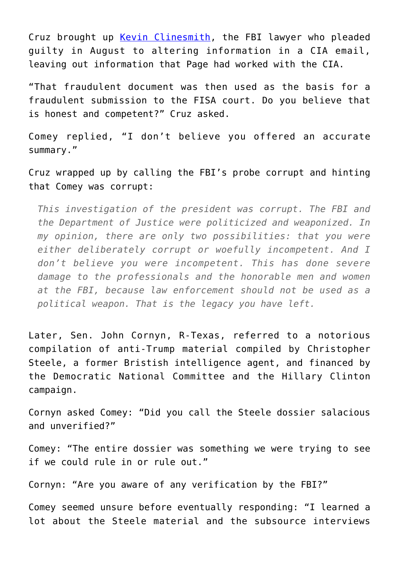Cruz brought up [Kevin Clinesmith](https://www.dailysignal.com/2020/08/14/ex-fbi-lawyer-to-plead-guilty-in-durham-probe-of-russia-investigations-origins-carter-page/), the FBI lawyer who pleaded guilty in August to altering information in a CIA email, leaving out information that Page had worked with the CIA.

"That fraudulent document was then used as the basis for a fraudulent submission to the FISA court. Do you believe that is honest and competent?" Cruz asked.

Comey replied, "I don't believe you offered an accurate summary."

Cruz wrapped up by calling the FBI's probe corrupt and hinting that Comey was corrupt:

*This investigation of the president was corrupt. The FBI and the Department of Justice were politicized and weaponized. In my opinion, there are only two possibilities: that you were either deliberately corrupt or woefully incompetent. And I don't believe you were incompetent. This has done severe damage to the professionals and the honorable men and women at the FBI, because law enforcement should not be used as a political weapon. That is the legacy you have left.*

Later, Sen. John Cornyn, R-Texas, referred to a notorious compilation of anti-Trump material compiled by Christopher Steele, a former Bristish intelligence agent, and financed by the Democratic National Committee and the Hillary Clinton campaign.

Cornyn asked Comey: "Did you call the Steele dossier salacious and unverified?"

Comey: "The entire dossier was something we were trying to see if we could rule in or rule out."

Cornyn: "Are you aware of any verification by the FBI?"

Comey seemed unsure before eventually responding: "I learned a lot about the Steele material and the subsource interviews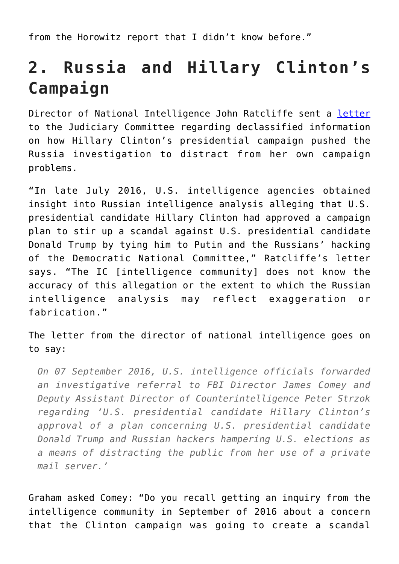from the Horowitz report that I didn't know before."

## **2. Russia and Hillary Clinton's Campaign**

Director of National Intelligence John Ratcliffe sent a [letter](https://www.judiciary.senate.gov/imo/media/doc/09-29-20_Letter%20to%20Sen.%20Graham_Declassification%20of%20FBI) to the Judiciary Committee regarding declassified information on how Hillary Clinton's presidential campaign pushed the Russia investigation to distract from her own campaign problems.

"In late July 2016, U.S. intelligence agencies obtained insight into Russian intelligence analysis alleging that U.S. presidential candidate Hillary Clinton had approved a campaign plan to stir up a scandal against U.S. presidential candidate Donald Trump by tying him to Putin and the Russians' hacking of the Democratic National Committee," Ratcliffe's letter says. "The IC [intelligence community] does not know the accuracy of this allegation or the extent to which the Russian intelligence analysis may reflect exaggeration or fabrication."

The letter from the director of national intelligence goes on to say:

*On 07 September 2016, U.S. intelligence officials forwarded an investigative referral to FBI Director James Comey and Deputy Assistant Director of Counterintelligence Peter Strzok regarding 'U.S. presidential candidate Hillary Clinton's approval of a plan concerning U.S. presidential candidate Donald Trump and Russian hackers hampering U.S. elections as a means of distracting the public from her use of a private mail server.'*

Graham asked Comey: "Do you recall getting an inquiry from the intelligence community in September of 2016 about a concern that the Clinton campaign was going to create a scandal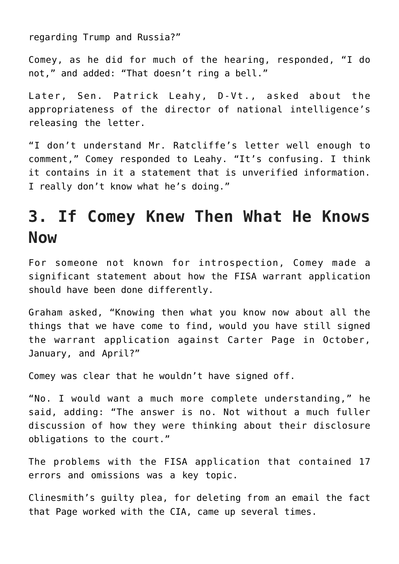regarding Trump and Russia?"

Comey, as he did for much of the hearing, responded, "I do not," and added: "That doesn't ring a bell."

Later, Sen. Patrick Leahy, D-Vt., asked about the appropriateness of the director of national intelligence's releasing the letter.

"I don't understand Mr. Ratcliffe's letter well enough to comment," Comey responded to Leahy. "It's confusing. I think it contains in it a statement that is unverified information. I really don't know what he's doing."

### **3. If Comey Knew Then What He Knows Now**

For someone not known for introspection, Comey made a significant statement about how the FISA warrant application should have been done differently.

Graham asked, "Knowing then what you know now about all the things that we have come to find, would you have still signed the warrant application against Carter Page in October, January, and April?"

Comey was clear that he wouldn't have signed off.

"No. I would want a much more complete understanding," he said, adding: "The answer is no. Not without a much fuller discussion of how they were thinking about their disclosure obligations to the court."

The problems with the FISA application that contained 17 errors and omissions was a key topic.

Clinesmith's guilty plea, for deleting from an email the fact that Page worked with the CIA, came up several times.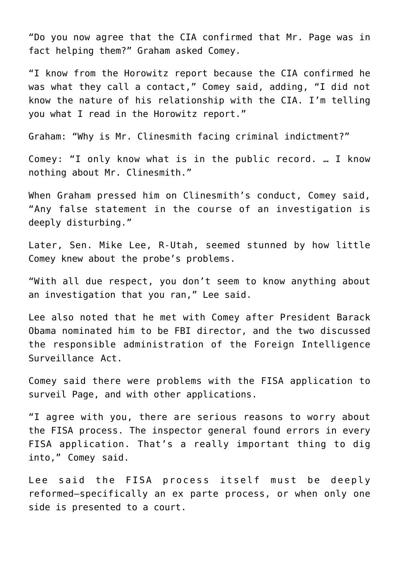"Do you now agree that the CIA confirmed that Mr. Page was in fact helping them?" Graham asked Comey.

"I know from the Horowitz report because the CIA confirmed he was what they call a contact," Comey said, adding, "I did not know the nature of his relationship with the CIA. I'm telling you what I read in the Horowitz report."

Graham: "Why is Mr. Clinesmith facing criminal indictment?"

Comey: "I only know what is in the public record. … I know nothing about Mr. Clinesmith."

When Graham pressed him on Clinesmith's conduct, Comey said, "Any false statement in the course of an investigation is deeply disturbing."

Later, Sen. Mike Lee, R-Utah, seemed stunned by how little Comey knew about the probe's problems.

"With all due respect, you don't seem to know anything about an investigation that you ran," Lee said.

Lee also noted that he met with Comey after President Barack Obama nominated him to be FBI director, and the two discussed the responsible administration of the Foreign Intelligence Surveillance Act.

Comey said there were problems with the FISA application to surveil Page, and with other applications.

"I agree with you, there are serious reasons to worry about the FISA process. The inspector general found errors in every FISA application. That's a really important thing to dig into," Comey said.

Lee said the FISA process itself must be deeply reformed—specifically an ex parte process, or when only one side is presented to a court.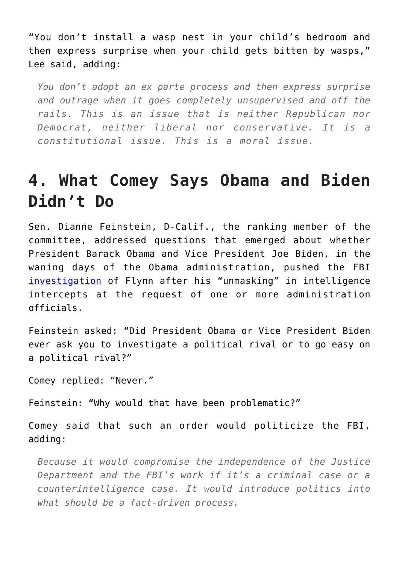"You don't install a wasp nest in your child's bedroom and then express surprise when your child gets bitten by wasps," Lee said, adding:

*You don't adopt an ex parte process and then express surprise and outrage when it goes completely unsupervised and off the rails. This is an issue that is neither Republican nor Democrat, neither liberal nor conservative. It is a constitutional issue. This is a moral issue.*

### **4. What Comey Says Obama and Biden Didn't Do**

Sen. Dianne Feinstein, D-Calif., the ranking member of the committee, addressed questions that emerged about whether President Barack Obama and Vice President Joe Biden, in the waning days of the Obama administration, pushed the FBI [investigation](https://www.dailysignal.com/2020/08/12/4-things-to-know-about-the-prosecutor-whos-probing-obamagate/) of Flynn after his "unmasking" in intelligence intercepts at the request of one or more administration officials.

Feinstein asked: "Did President Obama or Vice President Biden ever ask you to investigate a political rival or to go easy on a political rival?"

Comey replied: "Never."

Feinstein: "Why would that have been problematic?"

Comey said that such an order would politicize the FBI, adding:

*Because it would compromise the independence of the Justice Department and the FBI's work if it's a criminal case or a counterintelligence case. It would introduce politics into what should be a fact-driven process.*